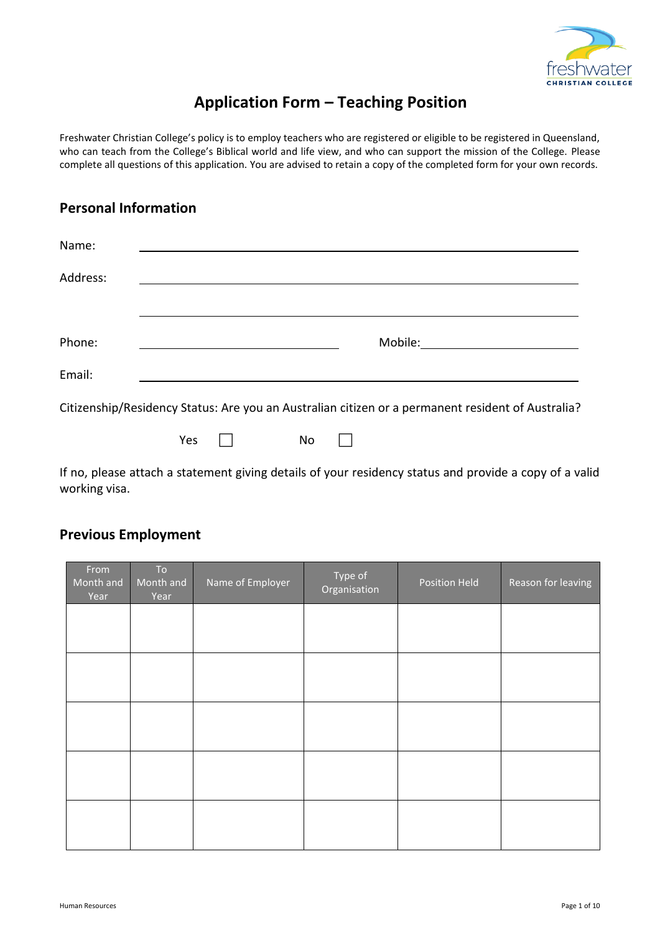

# **Application Form – Teaching Position**

Freshwater Christian College's policy is to employ teachers who are registered or eligible to be registered in Queensland, who can teach from the College's Biblical world and life view, and who can support the mission of the College. Please complete all questions of this application. You are advised to retain a copy of the completed form for your own records.

### **Personal Information**

| Name:    |                                                                                                   |
|----------|---------------------------------------------------------------------------------------------------|
| Address: |                                                                                                   |
|          |                                                                                                   |
| Phone:   | Mobile:                                                                                           |
| Email:   |                                                                                                   |
|          | Citizenship/Residency Status: Are you an Australian citizen or a permanent resident of Australia? |
|          | Yes<br>No                                                                                         |

If no, please attach a statement giving details of your residency status and provide a copy of a valid working visa.

## **Previous Employment**

| From<br>Month and<br>Year | To<br>Month and<br>Year | Name of Employer | Type of<br>Organisation | Position Held | Reason for leaving |
|---------------------------|-------------------------|------------------|-------------------------|---------------|--------------------|
|                           |                         |                  |                         |               |                    |
|                           |                         |                  |                         |               |                    |
|                           |                         |                  |                         |               |                    |
|                           |                         |                  |                         |               |                    |
|                           |                         |                  |                         |               |                    |
|                           |                         |                  |                         |               |                    |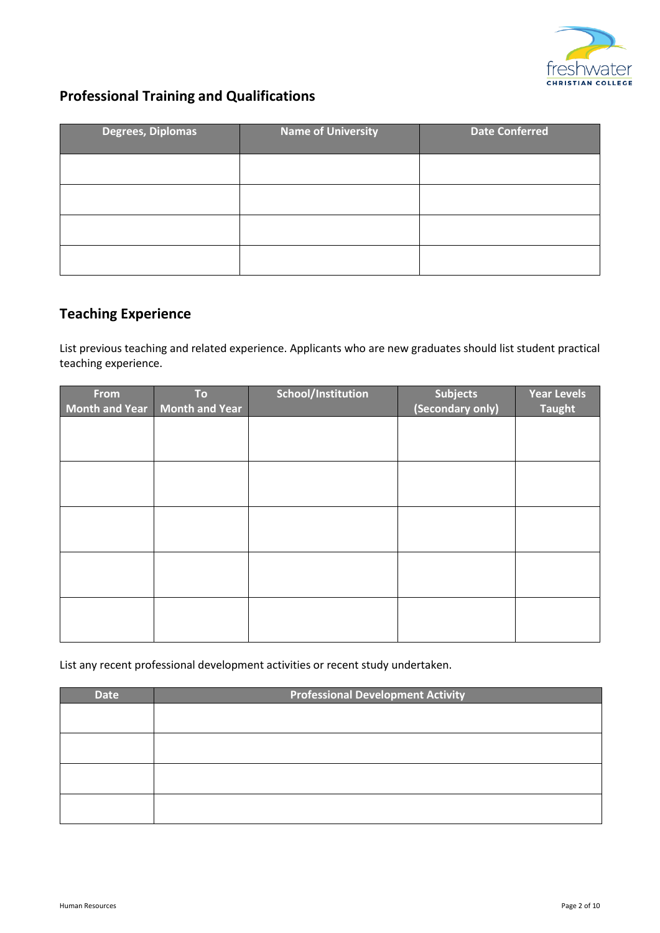

# **Professional Training and Qualifications**

| <b>Degrees, Diplomas</b> | <b>Name of University</b> | <b>Date Conferred</b> |
|--------------------------|---------------------------|-----------------------|
|                          |                           |                       |
|                          |                           |                       |
|                          |                           |                       |
|                          |                           |                       |

# **Teaching Experience**

List previous teaching and related experience. Applicants who are new graduates should list student practical teaching experience.

| From | <b>To</b>                     | School/Institution | <b>Subjects</b>  | <b>Year Levels</b> |
|------|-------------------------------|--------------------|------------------|--------------------|
|      | Month and Year Month and Year |                    | (Secondary only) | <b>Taught</b>      |
|      |                               |                    |                  |                    |
|      |                               |                    |                  |                    |
|      |                               |                    |                  |                    |
|      |                               |                    |                  |                    |
|      |                               |                    |                  |                    |
|      |                               |                    |                  |                    |
|      |                               |                    |                  |                    |
|      |                               |                    |                  |                    |
|      |                               |                    |                  |                    |
|      |                               |                    |                  |                    |
|      |                               |                    |                  |                    |
|      |                               |                    |                  |                    |
|      |                               |                    |                  |                    |
|      |                               |                    |                  |                    |
|      |                               |                    |                  |                    |

List any recent professional development activities or recent study undertaken.

| <b>Date</b> | <b>Professional Development Activity</b> |  |  |  |
|-------------|------------------------------------------|--|--|--|
|             |                                          |  |  |  |
|             |                                          |  |  |  |
|             |                                          |  |  |  |
|             |                                          |  |  |  |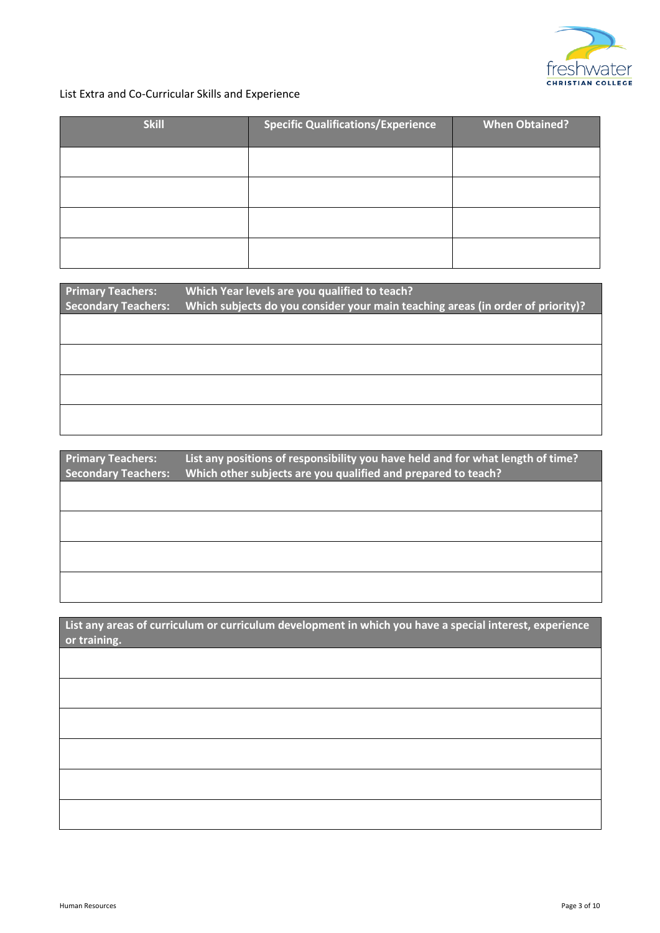

#### List Extra and Co-Curricular Skills and Experience

| <b>Skill</b> | <b>Specific Qualifications/Experience</b> | <b>When Obtained?</b> |
|--------------|-------------------------------------------|-----------------------|
|              |                                           |                       |
|              |                                           |                       |
|              |                                           |                       |
|              |                                           |                       |

| <b>Primary Teachers:</b><br><b>Secondary Teachers:</b> | Which Year levels are you qualified to teach?<br>Which subjects do you consider your main teaching areas (in order of priority)? |
|--------------------------------------------------------|----------------------------------------------------------------------------------------------------------------------------------|
|                                                        |                                                                                                                                  |
|                                                        |                                                                                                                                  |
|                                                        |                                                                                                                                  |
|                                                        |                                                                                                                                  |

**Primary Teachers: List any positions of responsibility you have held and for what length of time? Secondary Teachers: Which other subjects are you qualified and prepared to teach?**

**List any areas of curriculum or curriculum development in which you have a special interest, experience or training.**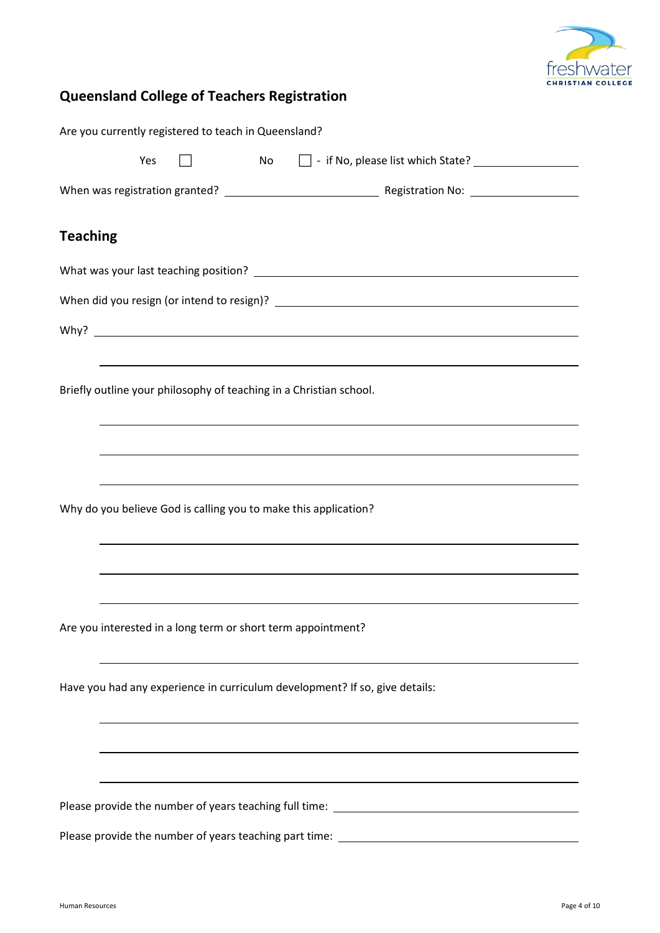

# **Queensland College of Teachers Registration**

| Are you currently registered to teach in Queensland?                              |
|-----------------------------------------------------------------------------------|
| No results<br>Yes                                                                 |
|                                                                                   |
| <b>Teaching</b>                                                                   |
|                                                                                   |
|                                                                                   |
|                                                                                   |
|                                                                                   |
| Briefly outline your philosophy of teaching in a Christian school.                |
|                                                                                   |
| ,我们也不会有什么。""我们的人,我们也不会有什么?""我们的人,我们也不会有什么?""我们的人,我们也不会有什么?""我们的人,我们也不会有什么?""我们的人  |
|                                                                                   |
| Why do you believe God is calling you to make this application?                   |
|                                                                                   |
|                                                                                   |
|                                                                                   |
| Are you interested in a long term or short term appointment?                      |
|                                                                                   |
| Have you had any experience in curriculum development? If so, give details:       |
|                                                                                   |
|                                                                                   |
| ,我们也不会有什么。""我们的人,我们也不会有什么?""我们的人,我们也不会有什么?""我们的人,我们也不会有什么?""我们的人,我们也不会有什么?""我们的人  |
| Please provide the number of years teaching full time: __________________________ |
|                                                                                   |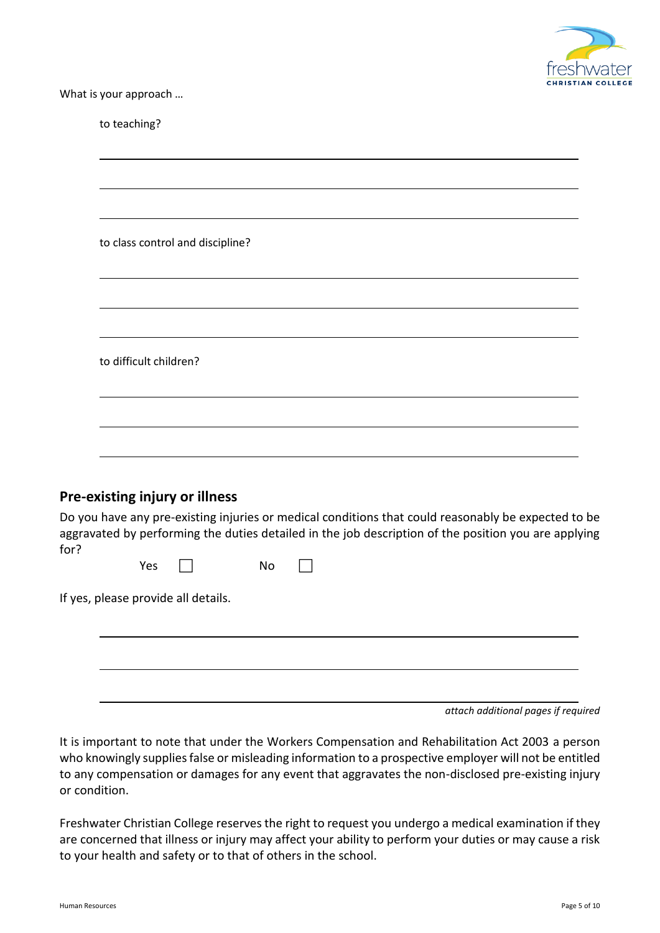

What is your approach …

|      |                        | to class control and discipline?    |    |  |  |                                                                                                                                                                                                             |  |
|------|------------------------|-------------------------------------|----|--|--|-------------------------------------------------------------------------------------------------------------------------------------------------------------------------------------------------------------|--|
|      |                        |                                     |    |  |  |                                                                                                                                                                                                             |  |
|      |                        |                                     |    |  |  |                                                                                                                                                                                                             |  |
|      | to difficult children? |                                     |    |  |  |                                                                                                                                                                                                             |  |
|      |                        |                                     |    |  |  |                                                                                                                                                                                                             |  |
|      |                        |                                     |    |  |  |                                                                                                                                                                                                             |  |
|      |                        | Pre-existing injury or illness      |    |  |  |                                                                                                                                                                                                             |  |
| for? |                        |                                     |    |  |  | Do you have any pre-existing injuries or medical conditions that could reasonably be expected to be<br>aggravated by performing the duties detailed in the job description of the position you are applying |  |
|      | Yes                    |                                     | No |  |  |                                                                                                                                                                                                             |  |
|      |                        | If yes, please provide all details. |    |  |  |                                                                                                                                                                                                             |  |

*attach additional pages if required*

It is important to note that under the Workers Compensation and Rehabilitation Act 2003 a person who knowingly supplies false or misleading information to a prospective employer will not be entitled to any compensation or damages for any event that aggravates the non-disclosed pre-existing injury or condition.

Freshwater Christian College reserves the right to request you undergo a medical examination if they are concerned that illness or injury may affect your ability to perform your duties or may cause a risk to your health and safety or to that of others in the school.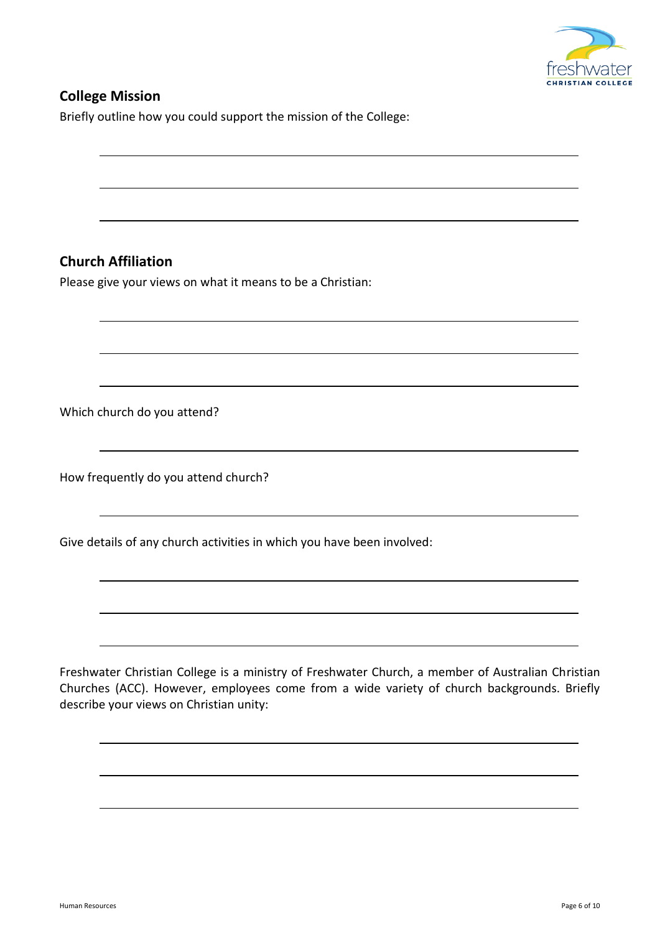

### **College Mission**

Briefly outline how you could support the mission of the College:

## **Church Affiliation**

Please give your views on what it means to be a Christian:

Which church do you attend?

How frequently do you attend church?

Give details of any church activities in which you have been involved:

Freshwater Christian College is a ministry of Freshwater Church, a member of Australian Christian Churches (ACC). However, employees come from a wide variety of church backgrounds. Briefly describe your views on Christian unity: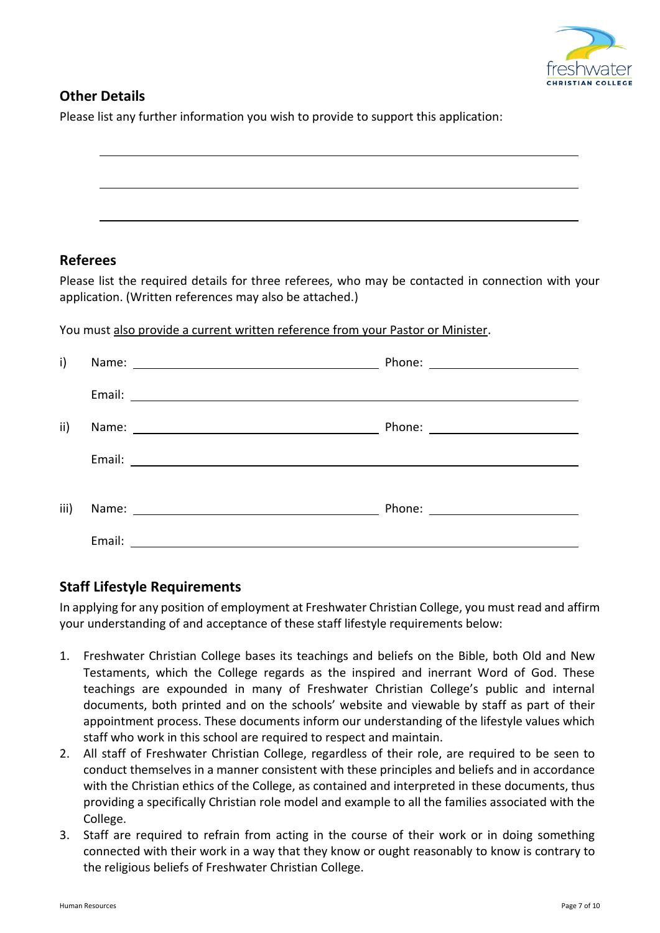

#### **Other Details**

Please list any further information you wish to provide to support this application:

## **Referees**

Please list the required details for three referees, who may be contacted in connection with your application. (Written references may also be attached.)

You must also provide a current written reference from your Pastor or Minister.

| i)   |  |
|------|--|
|      |  |
| ii)  |  |
|      |  |
| iii) |  |
|      |  |

#### **Staff Lifestyle Requirements**

In applying for any position of employment at Freshwater Christian College, you must read and affirm your understanding of and acceptance of these staff lifestyle requirements below:

- 1. Freshwater Christian College bases its teachings and beliefs on the Bible, both Old and New Testaments, which the College regards as the inspired and inerrant Word of God. These teachings are expounded in many of Freshwater Christian College's public and internal documents, both printed and on the schools' website and viewable by staff as part of their appointment process. These documents inform our understanding of the lifestyle values which staff who work in this school are required to respect and maintain.
- 2. All staff of Freshwater Christian College, regardless of their role, are required to be seen to conduct themselves in a manner consistent with these principles and beliefs and in accordance with the Christian ethics of the College, as contained and interpreted in these documents, thus providing a specifically Christian role model and example to all the families associated with the College.
- 3. Staff are required to refrain from acting in the course of their work or in doing something connected with their work in a way that they know or ought reasonably to know is contrary to the religious beliefs of Freshwater Christian College.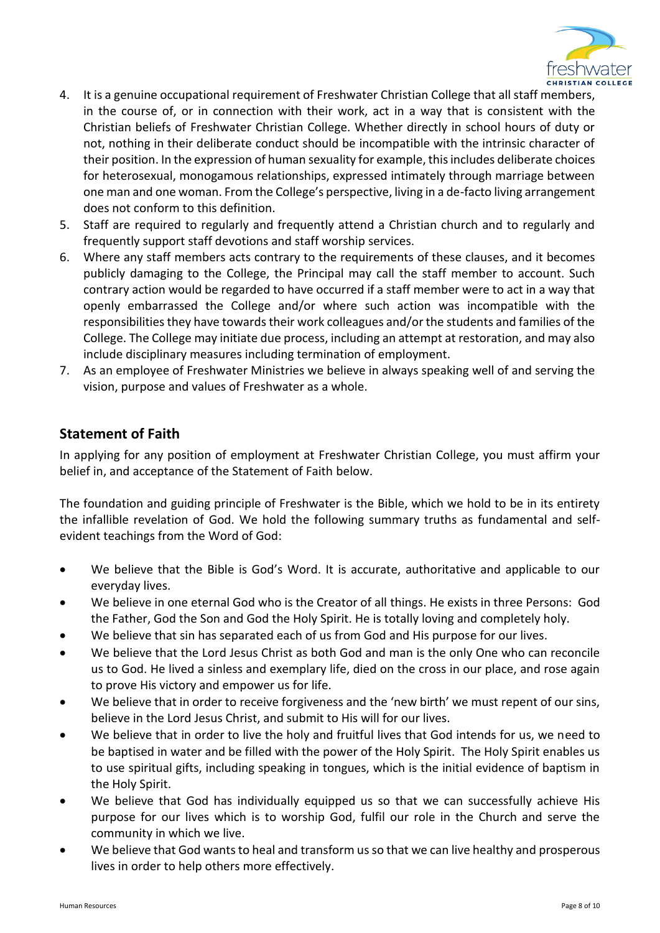

- 4. It is a genuine occupational requirement of Freshwater Christian College that all staff members, in the course of, or in connection with their work, act in a way that is consistent with the Christian beliefs of Freshwater Christian College. Whether directly in school hours of duty or not, nothing in their deliberate conduct should be incompatible with the intrinsic character of their position. In the expression of human sexuality for example, this includes deliberate choices for heterosexual, monogamous relationships, expressed intimately through marriage between one man and one woman. From the College's perspective, living in a de-facto living arrangement does not conform to this definition.
- 5. Staff are required to regularly and frequently attend a Christian church and to regularly and frequently support staff devotions and staff worship services.
- 6. Where any staff members acts contrary to the requirements of these clauses, and it becomes publicly damaging to the College, the Principal may call the staff member to account. Such contrary action would be regarded to have occurred if a staff member were to act in a way that openly embarrassed the College and/or where such action was incompatible with the responsibilities they have towards their work colleagues and/or the students and families of the College. The College may initiate due process, including an attempt at restoration, and may also include disciplinary measures including termination of employment.
- 7. As an employee of Freshwater Ministries we believe in always speaking well of and serving the vision, purpose and values of Freshwater as a whole.

#### **Statement of Faith**

In applying for any position of employment at Freshwater Christian College, you must affirm your belief in, and acceptance of the Statement of Faith below.

The foundation and guiding principle of Freshwater is the Bible, which we hold to be in its entirety the infallible revelation of God. We hold the following summary truths as fundamental and selfevident teachings from the Word of God:

- We believe that the Bible is God's Word. It is accurate, authoritative and applicable to our everyday lives.
- We believe in one eternal God who is the Creator of all things. He exists in three Persons: God the Father, God the Son and God the Holy Spirit. He is totally loving and completely holy.
- We believe that sin has separated each of us from God and His purpose for our lives.
- We believe that the Lord Jesus Christ as both God and man is the only One who can reconcile us to God. He lived a sinless and exemplary life, died on the cross in our place, and rose again to prove His victory and empower us for life.
- We believe that in order to receive forgiveness and the 'new birth' we must repent of our sins, believe in the Lord Jesus Christ, and submit to His will for our lives.
- We believe that in order to live the holy and fruitful lives that God intends for us, we need to be baptised in water and be filled with the power of the Holy Spirit. The Holy Spirit enables us to use spiritual gifts, including speaking in tongues, which is the initial evidence of baptism in the Holy Spirit.
- We believe that God has individually equipped us so that we can successfully achieve His purpose for our lives which is to worship God, fulfil our role in the Church and serve the community in which we live.
- We believe that God wants to heal and transform us so that we can live healthy and prosperous lives in order to help others more effectively.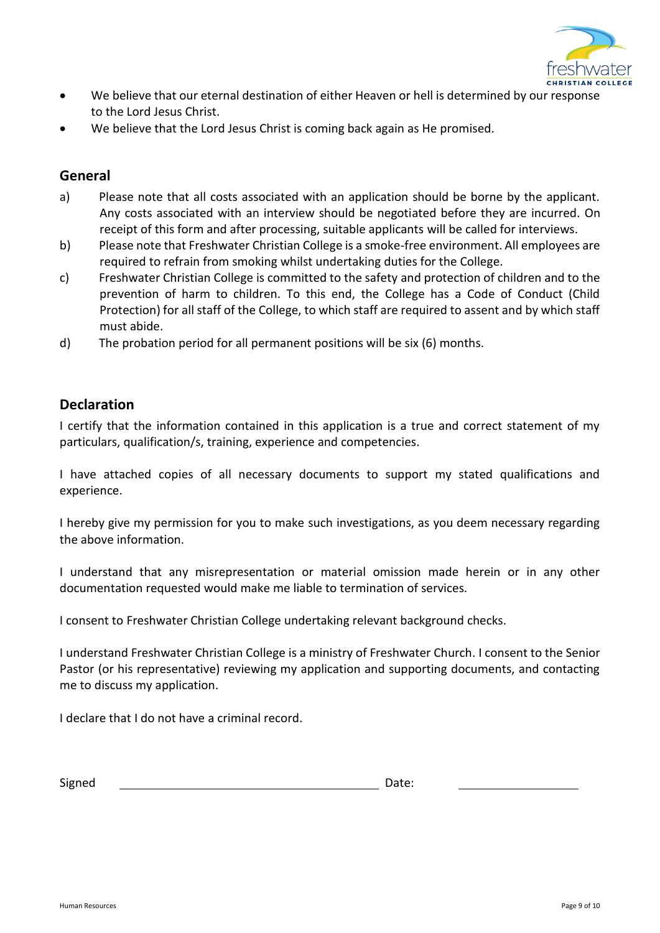

- We believe that our eternal destination of either Heaven or hell is determined by our response to the Lord Jesus Christ.
- We believe that the Lord Jesus Christ is coming back again as He promised.

#### **General**

- a) Please note that all costs associated with an application should be borne by the applicant. Any costs associated with an interview should be negotiated before they are incurred. On receipt of this form and after processing, suitable applicants will be called for interviews.
- b) Please note that Freshwater Christian College is a smoke-free environment. All employees are required to refrain from smoking whilst undertaking duties for the College.
- c) Freshwater Christian College is committed to the safety and protection of children and to the prevention of harm to children. To this end, the College has a Code of Conduct (Child Protection) for all staff of the College, to which staff are required to assent and by which staff must abide.
- d) The probation period for all permanent positions will be six (6) months.

#### **Declaration**

I certify that the information contained in this application is a true and correct statement of my particulars, qualification/s, training, experience and competencies.

I have attached copies of all necessary documents to support my stated qualifications and experience.

I hereby give my permission for you to make such investigations, as you deem necessary regarding the above information.

I understand that any misrepresentation or material omission made herein or in any other documentation requested would make me liable to termination of services.

I consent to Freshwater Christian College undertaking relevant background checks.

I understand Freshwater Christian College is a ministry of Freshwater Church. I consent to the Senior Pastor (or his representative) reviewing my application and supporting documents, and contacting me to discuss my application.

I declare that I do not have a criminal record.

Signed Date: